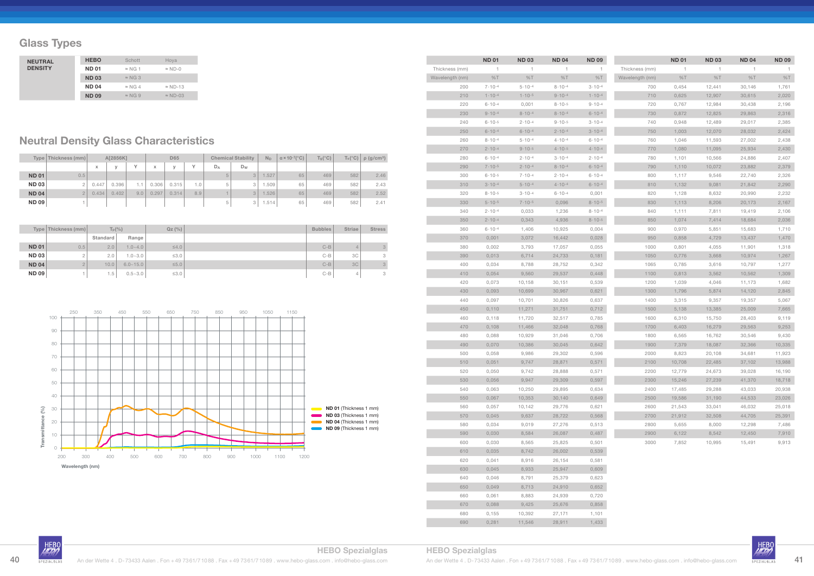## **Glass Types**

|              | Type   Thickness (mm) |       | A[2856K] |              |       | <b>D65</b> |                  |         | <b>Chemical Stability</b> | $N_D$    | $\alpha \times 10^{-7}$ (°C) | $T_g$ (°C) | $T_s(^{\circ}C)$ | $\rho$ (g/cm <sup>3</sup> ) |
|--------------|-----------------------|-------|----------|--------------|-------|------------|------------------|---------|---------------------------|----------|------------------------------|------------|------------------|-----------------------------|
|              |                       | X     | $\vee$   | $\checkmark$ | x     | $\vee$     | $\checkmark$     | $D_A$   | Dw                        |          |                              |            |                  |                             |
| <b>ND 01</b> | 0.5                   |       |          |              |       |            |                  | $\circ$ | 3                         | .527     | 65                           | 469        | 582              | 2.46                        |
| <b>ND 03</b> |                       | 0.447 | 0.396    | 1.1          | 0.306 | 0.315      | 1.0 <sub>1</sub> | 5       | 3                         | .509     | 65                           | 469        | 582              | 2.43                        |
| <b>ND 04</b> |                       | 0.434 | 0.402    | 9.0          | 0.297 | 0.314      | 8.9              |         | 3                         | .526     | 65                           | 469        | 582              | 2.52                        |
| <b>ND 09</b> |                       |       |          |              |       |            |                  | b       | 3                         | . .514 ' | 65                           | 469        | 582              | 2.41                        |

|              | Type   Thickness (mm) | $T_p$ $(\%)$ |              | QZ(%)      | <b>Bubbles</b> | <b>Striae</b> | <b>Stress</b> |
|--------------|-----------------------|--------------|--------------|------------|----------------|---------------|---------------|
|              |                       | Standard     | Range        |            |                |               |               |
| <b>ND 01</b> | 0.5                   | 2.0          | $1.0 - 4.0$  | $\leq 4.0$ | $C-B$          | 4             | $\mathcal{S}$ |
| <b>ND 03</b> |                       | 2.0          | $1.0 - 3.0$  | $\leq 3.0$ | $C-B$          | 3C            | 3             |
| <b>ND 04</b> |                       | 10.0         | $6.0 - 15.0$ | $\leq 5.0$ | $C-B$          | 3C            | $\mathcal{S}$ |
| <b>ND 09</b> |                       | 1.5          | $0.5 - 3.0$  | $\leq 3.0$ | $C-B$          | 4             | 3             |

## **Neutral Density Glass Characteristics**

| <b>NEUTRAL</b> | <b>HEBO</b>  | Schott         | Hoya            |
|----------------|--------------|----------------|-----------------|
| <b>DENSITY</b> | <b>ND 01</b> | $\approx$ NG 1 | $\approx$ ND-0  |
|                | <b>ND03</b>  | $\approx$ NG 3 |                 |
|                | <b>ND 04</b> | $\approx$ NG 4 | $\approx$ ND-13 |
|                | <b>ND 09</b> | $\approx$ NG 9 | $\approx$ ND-03 |

|                 | <b>ND 01</b>      | <b>ND03</b>       | <b>ND04</b>       | <b>ND 09</b>      |
|-----------------|-------------------|-------------------|-------------------|-------------------|
| Thickness (mm)  | 1                 | 1                 | 1                 | 1                 |
| Wavelength (nm) | %T                | %T                | %T                | %T                |
| 200             | $7.10 - 4$        | $5.10 - 4$        | $8.10 - 4$        | $3.10 - 4$        |
| 210             | $1.10 - 4$        | $1.10 - 5$        | $9.10 - 4$        | $1.10 - 4$        |
| 220             | $6 - 10 - 4$      | 0,001             | $8 \cdot 10^{-5}$ | $9.10 - 4$        |
| 230             | $9.10 - 4$        | $8.10 - 4$        | $8.10 - 4$        | $6.10 - 4$        |
| 240             | $6 - 10 - 5$      | $2 \cdot 10 - 4$  | $9.10 - 5$        | $3 \cdot 10 - 4$  |
| 250             | $6.10 - 4$        | $6.10 - 4$        | $2 \cdot 10^{-4}$ | $3 \cdot 10^{-4}$ |
| 260             | $8.10 - 4$        | $5.10 - 4$        | $4.10 - 4$        | $6.10 - 4$        |
| 270             | $2.10 - 4$        | $9.10 - 5$        | $4 \cdot 10 - 5$  | $4.10 - 4$        |
| 280             | $6 - 10 - 4$      | $2 \cdot 10^{-4}$ | $3 \cdot 10^{-4}$ | $2 \cdot 10^{-4}$ |
| 290             | $7 \cdot 10^{-5}$ | $2 \cdot 10^{-4}$ | $8.10 - 4$        | $6.10 - 4$        |
| 300             | $6 - 10 - 5$      | $7 \cdot 10 - 4$  | $2.10 - 4$        | $6 - 10 - 4$      |
| 310             | $3 \cdot 10 - 4$  | $5.10 - 4$        | $4.10 - 4$        | $6.10 - 4$        |
| 320             | $8.10 - 5$        | $3.10 - 4$        | $6.10 - 4$        | 0,001             |
| 330             | $5.10 - 5$        | $7 \cdot 10^{-5}$ | 0,096             | $8 - 10 - 5$      |
| 340             | $2.10 - 4$        | 0,033             | 1,236             | $8.10 - 4$        |
| 350             | $2 \cdot 10^{-4}$ | 0,343             | 4,936             | $8.10 - 5$        |
| 360             | $6 - 10 - 4$      | 1,406             | 10,925            | 0,004             |
| 370             | 0,001             | 3,072             | 16,442            | 0,028             |
| 380             | 0,002             | 3,793             | 17,057            | 0,055             |
| 390             | 0,013             | 6,714             | 24,733            | 0,181             |
| 400             | 0,034             | 8,788             | 28,752            | 0,342             |
| 410             | 0,054             | 9,560             | 29,537            | 0,448             |
| 420             | 0,073             | 10,158            | 30,151            | 0,539             |
| 430             | 0,093             | 10,699            | 30,967            | 0,621             |
| 440             | 0,097             | 10,701            | 30,826            | 0,637             |
| 450             | 0,110             | 11,271            | 31,751            | 0,712             |
| 460             | 0,118             | 11,720            | 32,517            | 0,785             |
| 470             | 0,108             | 11,466            | 32,048            | 0,768             |
| 480             | 0,088             | 10,929            | 31,046            | 0,706             |
| 490             | 0,070             | 10,386            | 30,045            | 0,642             |
| 500             | 0,058             | 9,986             | 29,302            | 0,596             |
| 510             | 0,051             | 9,747             | 28,871            | 0,571             |
| 520             | 0,050             | 9,742             | 28,888            | 0,571             |
| 530             | 0,056             | 9,947             | 29,309            | 0,597             |
| 540             | 0,063             | 10,250            | 29,895            | 0,634             |
| 550             | 0,067             | 10,353            | 30,140            | 0,649             |
| 560             | 0,057             | 10,142            | 29,776            | 0,621             |
| 570             | 0,045             | 9,637             | 28,722            | 0,568             |
| 580             | 0,034             | 9,019             | 27,276            | 0,513             |
| 590             | 0,030             | 8,584             | 26,087            | 0,487             |
| 600             | 0,030             | 8,565             | 25,825            | 0,501             |
| 610             | 0,035             | 8,742             | 26,002            | 0,539             |
| 620             | 0,041             | 8,916             | 26,154            | 0,581             |
| 630             | 0,045             | 8,933             | 25,947            | 0,609             |
| 640             | 0,046             | 8,791             | 25,379            | 0,623             |
| 650             | 0,049             | 8,713             | 24,910            | 0,652             |
| 660             | 0,061             | 8,883             | 24,939            | 0,720             |
| 670             | 0,088             | 9,425             | 25,676            | 0,858             |
| 680             | 0,155             | 10,392            | 27,171            | 1,101             |
| 690             | 0,281             | 11,546            | 28,911            | 1,433             |

|                 | <b>ND01</b> | <b>ND 03</b> | <b>ND 04</b> | <b>ND 09</b> |
|-----------------|-------------|--------------|--------------|--------------|
| Thickness (mm)  | 1           | 1            | 1            | 1            |
| Wavelength (nm) | %T          | %T           | %T           | %T           |
| 700             | 0,454       | 12,441       | 30,146       | 1,761        |
| 710             | 0,625       | 12,907       | 30,615       | 2,020        |
| 720             | 0,767       | 12,984       | 30,438       | 2,196        |
| 730             | 0,872       | 12,825       | 29,863       | 2,316        |
| 740             | 0,948       | 12,489       | 29,017       | 2,385        |
| 750             | 1,003       | 12,070       | 28,032       | 2,424        |
| 760             | 1,046       | 11,593       | 27,002       | 2,438        |
| 770             | 1,080       | 11,095       | 25,934       | 2,430        |
| 780             | 1,101       | 10,566       | 24,886       | 2,407        |
| 790             | 1,110       | 10,072       | 23,882       | 2,379        |
| 800             | 1,117       | 9,546        | 22,740       | 2,326        |
| 810             | 1,132       | 9,081        | 21,842       | 2,290        |
| 820             | 1,128       | 8,632        | 20,990       | 2,232        |
| 830             | 1,113       | 8,206        | 20,173       | 2,167        |
| 840             | 1,111       | 7,811        | 19,419       | 2,106        |
| 850             | 1,074       | 7,414        | 18,684       | 2,036        |
| 900             | 0,970       | 5,851        | 15,683       | 1,710        |
| 950             | 0,858       | 4,729        | 13,437       | 1,470        |
| 1000            | 0,801       | 4,055        | 11,901       | 1,318        |
| 1050            | 0,776       | 3,668        | 10,974       | 1,267        |
| 1065            | 0,785       | 3,616        | 10,797       | 1,277        |
| 1100            | 0,813       | 3,562        | 10,562       | 1,309        |
| 1200            | 1,039       | 4,046        | 11,173       | 1,682        |
| 1300            | 1,796       | 5,874        | 14,120       | 2,845        |
| 1400            | 3,315       | 9,357        | 19,357       | 5,067        |
| 1500            | 5,138       | 13,385       | 25,009       | 7,665        |
| 1600            | 6,310       | 15,750       | 28,403       | 9,119        |
| 1700            | 6,403       | 16,279       | 29,563       | 9,253        |
| 1800            | 6,565       | 16,762       | 30,546       | 9,430        |
| 1900            | 7,379       | 18,087       | 32,366       | 10,335       |
| 2000            | 8,823       | 20,108       | 34,681       | 11,923       |
| 2100            | 10,708      | 22,485       | 37,102       | 13,988       |
| 2200            | 12,779      | 24,673       | 39,028       | 16,190       |
| 2300            | 15,246      | 27,239       | 41,370       | 18,718       |
| 2400            | 17,485      | 29,288       | 43,033       | 20,938       |
| 2500            | 19,586      | 31,190       | 44,533       | 23,026       |
| 2600            | 21,543      | 33,041       | 46,032       | 25,018       |
| 2700            | 21,912      | 32,508       | 44,705       | 25,391       |
| 2800            | 5,655       | 8,000        | 12,298       | 7,486        |
| 2900            | 6,122       | 8,542        | 12,450       | 7,910        |
| 3000            | 7,852       | 10,995       | 15,491       | 9,913        |